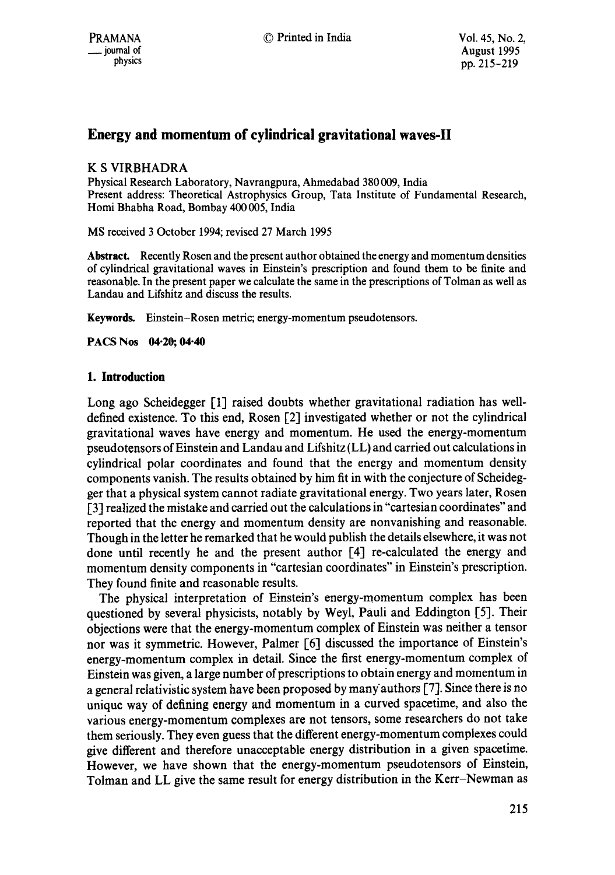# **Energy and momentum of cylindrical gravitational waves-ll**

# K S VIRBHADRA

Physical Research Laboratory, Navrangpura, Ahmedabad 380 009, India Present address: Theoretical Astrophysics Group, Tata Institute of Fundamental Research, Homi Bhabha Road, Bombay 400 005, India

MS received 3 October 1994; revised 27 March 1995

**Abstract.** Recently Rosen and the present author obtained the energy and momentum densities of cylindrical gravitational waves in Einstein's prescription and found them to be finite and reasonable. In the present paper we calculate the same in the prescriptions of Tolman as well as Landau and Lifshitz and discuss the results.

Keywords. Einstein-Rosen metric; energy-momentum pseudotensors.

**PACS Nos 04"20; 04-40** 

# **1. Introduction**

Long ago Scheidegger [1] raised doubts whether gravitational radiation has welldefined existence. To this end, Rosen [2] investigated whether or not the cylindrical gravitational waves have energy and momentum. He used the energy-momentum pseudotensors of Einstein and Landau and Lifshitz (LL) and carried out calculations in cylindrical polar coordinates and found that the energy and momentum density components vanish. The results obtained by him fit in with the conjecture of Scheidegger that a physical system cannot radiate gravitational energy. Two years later, Rosen [3] realized the mistake and carried out the calculations in "cartesian coordinates" and reported that the energy and momentum density are nonvanishing and reasonable. Though in the letter he remarked that he would publish the details elsewhere, it was not done until recently he and the present author [4] re-calculated the energy and momentum density components in "cartesian coordinates" in Einstein's prescription. They found finite and reasonable results.

The physical interpretation of Einstein's energy-momentum complex has been questioned by several physicists, notably by Weyl, Pauli and Eddington [5]. Their objections were that the energy-momentum complex of Einstein was neither a tensor nor was it symmetric. However, Palmer [6] discussed the importance of Einstein's energy-momentum complex in detail. Since the first energy-momentum complex of Einstein was given, a large number of prescriptions to obtain energy and momentum in a general relativistic system have been proposed by manyauthors [7]. Since there is no unique way of defining energy and momentum in a curved spacetime, and also the various energy-momentum complexes are not tensors, some researchers do not take them seriously. They even guess that the different energy-momentum complexes could give different and therefore unacceptable energy distribution in a given spacetime. However, we have shown that the energy-momentum pseudotensors of Einstein, Tolman and LL give the same result for energy distribution in the Kerr-Newman as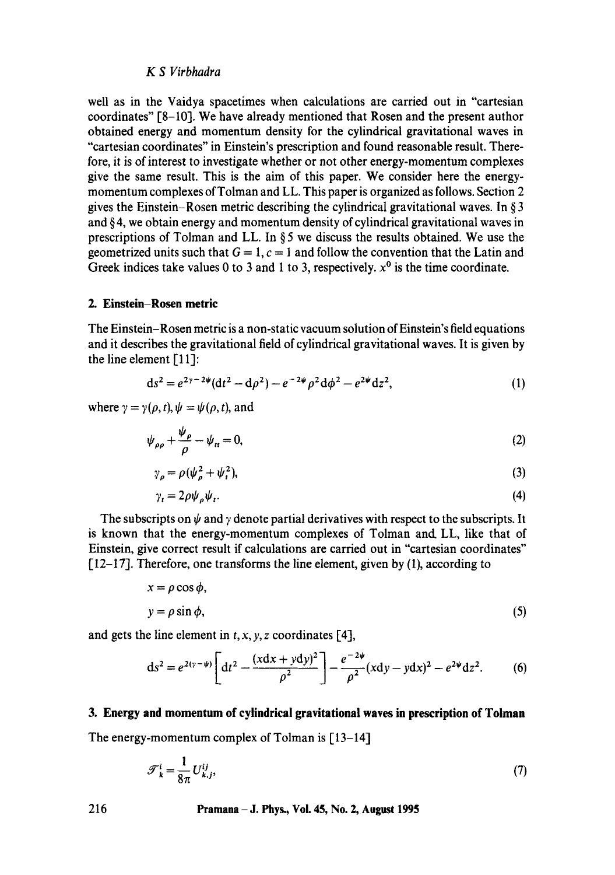## *KS Virbhadra*

well as in the Vaidya spacetimes when calculations are carried out in "cartesian coordinates" [8-10]. We have already mentioned that Rosen and the present author obtained energy and momentum density for the cylindrical gravitational waves in "cartesian coordinates" in Einstein's prescription and found reasonable result. Therefore, it is of interest to investigate whether or not other energy-momentum complexes give the same result. This is the aim of this paper. We consider here the energymomentum complexes of Tolman and LL. This paper is organized as follows. Section 2 gives the Einstein-Rosen metric describing the cylindrical gravitational waves. In § 3 and § 4, we obtain energy and momentum density of cylindrical gravitational waves in prescriptions of Tolman and LL. In  $\S 5$  we discuss the results obtained. We use the geometrized units such that  $G = 1$ ,  $c = 1$  and follow the convention that the Latin and Greek indices take values 0 to 3 and 1 to 3, respectively,  $x^0$  is the time coordinate.

#### **2. Einstein-Rosen metric**

The Einstein-Rosen metric is a non-static vacuum solution of Einstein's field equations and it describes the gravitational field of cylindrical gravitational waves. It is given by the line element  $[11]$ :

$$
ds^{2} = e^{2\gamma - 2\psi} (dt^{2} - d\rho^{2}) - e^{-2\psi} \rho^{2} d\phi^{2} - e^{2\psi} dz^{2},
$$
 (1)

where  $\gamma = \gamma(\rho, t), \psi = \psi(\rho, t)$ , and

$$
\psi_{\rho\rho} + \frac{\psi_{\rho}}{\rho} - \psi_{tt} = 0, \tag{2}
$$

$$
\gamma_{\rho} = \rho (\psi_{\rho}^2 + \psi_t^2),\tag{3}
$$

$$
\gamma_t = 2\rho \psi_{\rho} \psi_t. \tag{4}
$$

The subscripts on  $\psi$  and  $\gamma$  denote partial derivatives with respect to the subscripts. It is known that the energy-momentum complexes of Tolman and. LL, like that of Einstein, give correct result if calculations are carried out in "cartesian coordinates" [12-17]. Therefore, one transforms the line element, given by (1), according to

$$
x = \rho \cos \phi,
$$
  
\n
$$
y = \rho \sin \phi,
$$
 (5)

and gets the line element in  $t, x, y, z$  coordinates [4],

$$
ds^{2} = e^{2(\gamma - \psi)} \left[ dt^{2} - \frac{(xdx + ydy)^{2}}{\rho^{2}} \right] - \frac{e^{-2\psi}}{\rho^{2}} (xdy - ydx)^{2} - e^{2\psi} dz^{2}.
$$
 (6)

#### **3. Energy and momentum of cylindrical gravitational waves in prescription of Toiman**

The energy-momentum complex of Tolman is [13-14]

$$
\mathcal{F}_{k}^{i} = \frac{1}{8\pi} U_{k,j}^{ij},\tag{7}
$$

**216 Pramana- J. Phys., VoL 45, No. 2, August 1995**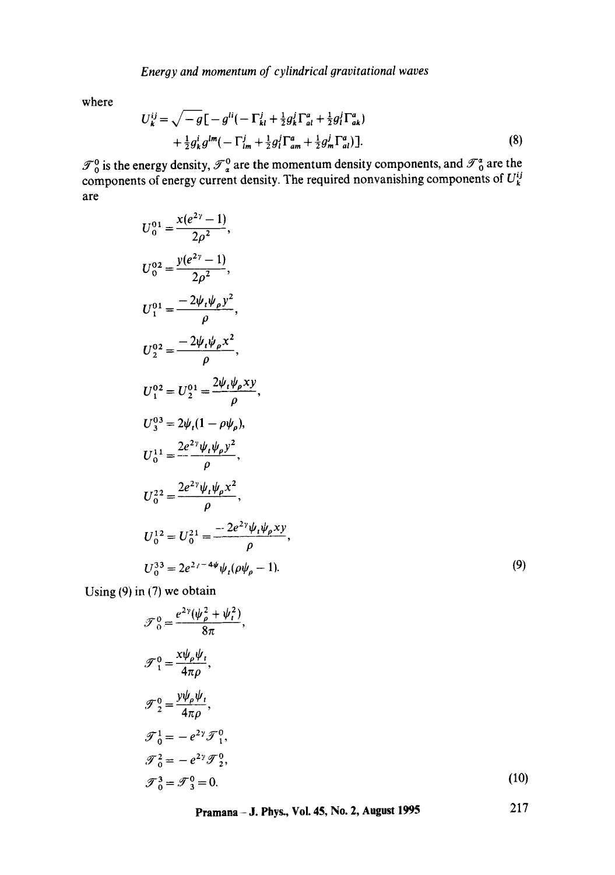where

$$
U_{k}^{ij} = \sqrt{-g} \left[ -g^{li} \left( -\Gamma_{kl}^{j} + \frac{1}{2} g_{k}^{j} \Gamma_{al}^{a} + \frac{1}{2} g_{l}^{j} \Gamma_{ak}^{a} \right) \right. \\ \left. + \frac{1}{2} g_{k}^{i} g^{lm} \left( -\Gamma_{lm}^{j} + \frac{1}{2} g_{l}^{j} \Gamma_{am}^{a} + \frac{1}{2} g_{m}^{j} \Gamma_{al}^{a} \right) \right]. \tag{8}
$$

 $\mathcal{T}_0^0$  is the energy density,  $\mathcal{T}_2^0$  are the momentum density components, and  $\mathcal{I}_0^1$  are the components of energy current density. The required nonvanishing components of  $U<sub>k</sub><sup>o</sup>$ are

$$
U_0^{01} = \frac{x(e^{2\gamma} - 1)}{2\rho^2},
$$
  
\n
$$
U_0^{02} = \frac{y(e^{2\gamma} - 1)}{2\rho^2},
$$
  
\n
$$
U_1^{01} = \frac{-2\psi_t\psi_\rho y^2}{\rho},
$$
  
\n
$$
U_2^{02} = \frac{-2\psi_t\psi_\rho x^2}{\rho},
$$
  
\n
$$
U_1^{02} = U_2^{01} = \frac{2\psi_t\psi_\rho xy}{\rho},
$$
  
\n
$$
U_3^{03} = 2\psi_t(1 - \rho\psi_\rho),
$$
  
\n
$$
U_0^{11} = \frac{2e^{2\gamma}\psi_t\psi_\rho y^2}{\rho},
$$
  
\n
$$
U_0^{22} = \frac{2e^{2\gamma}\psi_t\psi_\rho x^2}{\rho},
$$
  
\n
$$
U_0^{12} = U_0^{21} = \frac{-2e^{2\gamma}\psi_t\psi_\rho xy}{\rho},
$$
  
\n
$$
U_0^{33} = 2e^{2\gamma - 4\psi}\psi_t(\rho\psi_\rho - 1).
$$

**(9)** 

Using (9) in (7) we obtain

$$
\mathcal{F}_0^0 = \frac{e^{2\gamma}(\psi_\rho^2 + \psi_t^2)}{8\pi},
$$
  
\n
$$
\mathcal{F}_1^0 = \frac{x\psi_\rho\psi_t}{4\pi\rho},
$$
  
\n
$$
\mathcal{F}_2^0 = \frac{y\psi_p\psi_t}{4\pi\rho},
$$
  
\n
$$
\mathcal{F}_0^1 = -e^{2\gamma}\mathcal{F}_1^0,
$$
  
\n
$$
\mathcal{F}_0^2 = -e^{2\gamma}\mathcal{F}_2^0,
$$
  
\n
$$
\mathcal{F}_0^3 = \mathcal{F}_3^0 = 0.
$$
  
\n(10)

**Pramana - J. Phys., Vol. 45, No. 2, August 1995**  217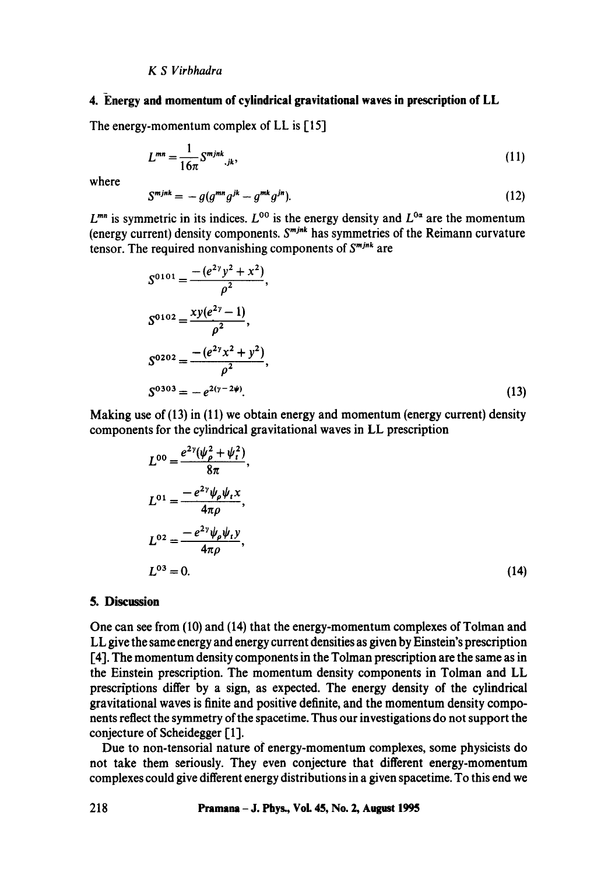#### *KS Virbhadra*

## **4. Energy and momentum of cylindrical gravitational waves in prescription of LL**

The energy-momentum complex of LL is [15]

$$
L^{mn} = \frac{1}{16\pi} S^{m j n k}{}_{,jk},\tag{11}
$$

where

$$
S^{mjnk} = -g(g^{mn}g^{jk} - g^{mk}g^{jn}).
$$
\n(12)

 $L^{mn}$  is symmetric in its indices.  $L^{00}$  is the energy density and  $L^{0\alpha}$  are the momentum (energy current) density components.  $S^{m j n k}$  has symmetries of the Reimann curvature tensor. The required nonvanishing components of  $S^{m j n k}$  are

$$
S^{0101} = \frac{-(e^{2\gamma}y^2 + x^2)}{\rho^2},
$$
  
\n
$$
S^{0102} = \frac{xy(e^{2\gamma} - 1)}{\rho^2},
$$
  
\n
$$
S^{0202} = \frac{-(e^{2\gamma}x^2 + y^2)}{\rho^2},
$$
  
\n
$$
S^{0303} = -e^{2(\gamma - 2\psi)}.
$$
\n(13)

Making use of  $(13)$  in  $(11)$  we obtain energy and momentum (energy current) density components for the cylindrical gravitational waves in LL prescription

$$
L^{00} = \frac{e^{2\gamma}(\psi_{\rho}^{2} + \psi_{t}^{2})}{8\pi},
$$
  
\n
$$
L^{01} = \frac{-e^{2\gamma}\psi_{\rho}\psi_{t}x}{4\pi\rho},
$$
  
\n
$$
L^{02} = \frac{-e^{2\gamma}\psi_{\rho}\psi_{t}y}{4\pi\rho},
$$
  
\n
$$
L^{03} = 0.
$$
\n(14)

## **5. Discussion**

One can see from (10) and (14) that the energy-momentum complexes of Tolman and LL give the same energy and energy current densities as given by Einstein's prescription I-41. The momentum density components in the Tolman prescription are the same as in the Einstein prescription. The momentum density components in Tolman and LL prescriptions differ by a sign, as expected. The energy density of the cylindrical gravitational waves is finite and positive definite, and the momentum density components reflect the symmetry of the spacetime. Thus our investigations do not support the conjecture of Scheidegger [1].

Due to non-tensorial nature of energy-momentum complexes, some physicists do not take them seriously. They even conjecture that different energy-momentum complexes could give different energy distributions in a given spacetime. To this end we